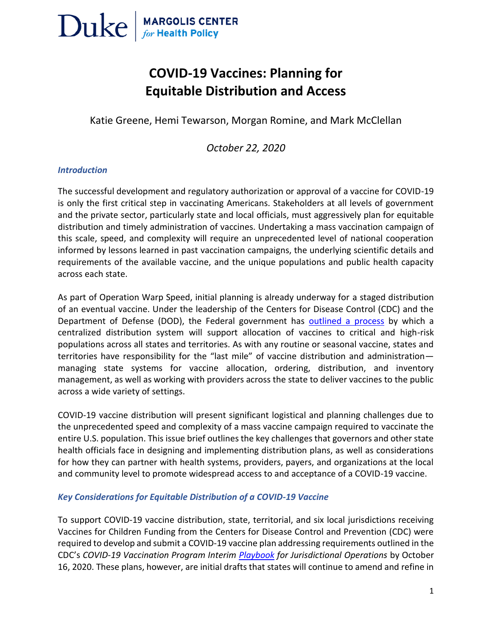

### **COVID-19 Vaccines: Planning for Equitable Distribution and Access**

Katie Greene, Hemi Tewarson, Morgan Romine, and Mark McClellan

*October 22, 2020*

#### *Introduction*

The successful development and regulatory authorization or approval of a vaccine for COVID-19 is only the first critical step in vaccinating Americans. Stakeholders at all levels of government and the private sector, particularly state and local officials, must aggressively plan for equitable distribution and timely administration of vaccines. Undertaking a mass vaccination campaign of this scale, speed, and complexity will require an unprecedented level of national cooperation informed by lessons learned in past vaccination campaigns, the underlying scientific details and requirements of the available vaccine, and the unique populations and public health capacity across each state.

As part of Operation Warp Speed, initial planning is already underway for a staged distribution of an eventual vaccine. Under the leadership of the Centers for Disease Control (CDC) and the Department of Defense (DOD), the Federal government has **[outlined a process](https://www.hhs.gov/sites/default/files/strategy-for-distributing-covid-19-vaccine.pdf)** by which a centralized distribution system will support allocation of vaccines to critical and high-risk populations across all states and territories. As with any routine or seasonal vaccine, states and territories have responsibility for the "last mile" of vaccine distribution and administrationmanaging state systems for vaccine allocation, ordering, distribution, and inventory management, as well as working with providers across the state to deliver vaccines to the public across a wide variety of settings.

COVID-19 vaccine distribution will present significant logistical and planning challenges due to the unprecedented speed and complexity of a mass vaccine campaign required to vaccinate the entire U.S. population. This issue brief outlines the key challenges that governors and other state health officials face in designing and implementing distribution plans, as well as considerations for how they can partner with health systems, providers, payers, and organizations at the local and community level to promote widespread access to and acceptance of a COVID-19 vaccine.

#### *Key Considerations for Equitable Distribution of a COVID-19 Vaccine*

To support COVID-19 vaccine distribution, state, territorial, and six local jurisdictions receiving Vaccines for Children Funding from the Centers for Disease Control and Prevention (CDC) were required to develop and submit a COVID-19 vaccine plan addressing requirements outlined in the CDC's *COVID-19 Vaccination Program Interim [Playbook](https://www.cdc.gov/vaccines/imz-managers/downloads/COVID-19-Vaccination-Program-Interim_Playbook.pdf) for Jurisdictional Operations* by October 16, 2020. These plans, however, are initial drafts that states will continue to amend and refine in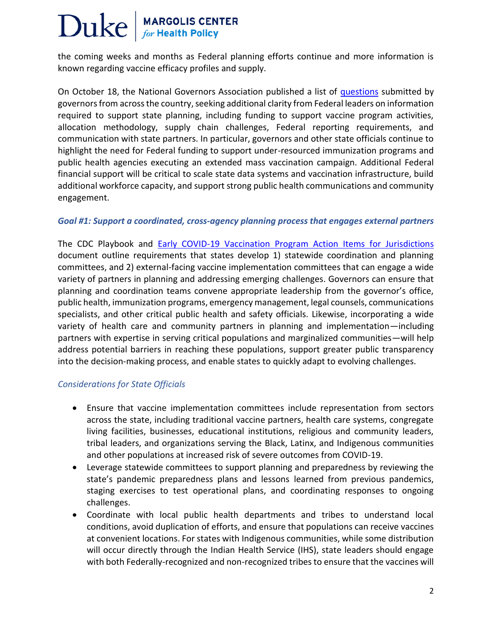# $\text{Duke}$  MARGOLIS CENTER

the coming weeks and months as Federal planning efforts continue and more information is known regarding vaccine efficacy profiles and supply.

On October 18, the National Governors Association published a list of [questions](https://www.governor.ny.gov/news/national-governors-association-submits-list-questions-trump-administration-effective) submitted by governors from across the country, seeking additional clarity from Federal leaders on information required to support state planning, including funding to support vaccine program activities, allocation methodology, supply chain challenges, Federal reporting requirements, and communication with state partners. In particular, governors and other state officials continue to highlight the need for Federal funding to support under-resourced immunization programs and public health agencies executing an extended mass vaccination campaign. Additional Federal financial support will be critical to scale state data systems and vaccination infrastructure, build additional workforce capacity, and support strong public health communications and community engagement.

#### *Goal #1: Support a coordinated, cross-agency planning process that engages external partners*

The CDC Playbook and [Early COVID-19 Vaccination Program Action Items](https://int.nyt.com/data/documenttools/early-covid-19-vax-action-items-8-27-2020-final/935b1bd03afcefff/full.pdf) for Jurisdictions document outline requirements that states develop 1) statewide coordination and planning committees, and 2) external-facing vaccine implementation committees that can engage a wide variety of partners in planning and addressing emerging challenges. Governors can ensure that planning and coordination teams convene appropriate leadership from the governor's office, public health, immunization programs, emergency management, legal counsels, communications specialists, and other critical public health and safety officials. Likewise, incorporating a wide variety of health care and community partners in planning and implementation—including partners with expertise in serving critical populations and marginalized communities—will help address potential barriers in reaching these populations, support greater public transparency into the decision-making process, and enable states to quickly adapt to evolving challenges.

#### *Considerations for State Officials*

- Ensure that vaccine implementation committees include representation from sectors across the state, including traditional vaccine partners, health care systems, congregate living facilities, businesses, educational institutions, religious and community leaders, tribal leaders, and organizations serving the Black, Latinx, and Indigenous communities and other populations at increased risk of severe outcomes from COVID-19.
- Leverage statewide committees to support planning and preparedness by reviewing the state's pandemic preparedness plans and lessons learned from previous pandemics, staging exercises to test operational plans, and coordinating responses to ongoing challenges.
- Coordinate with local public health departments and tribes to understand local conditions, avoid duplication of efforts, and ensure that populations can receive vaccines at convenient locations. For states with Indigenous communities, while some distribution will occur directly through the Indian Health Service (IHS), state leaders should engage with both Federally-recognized and non-recognized tribes to ensure that the vaccines will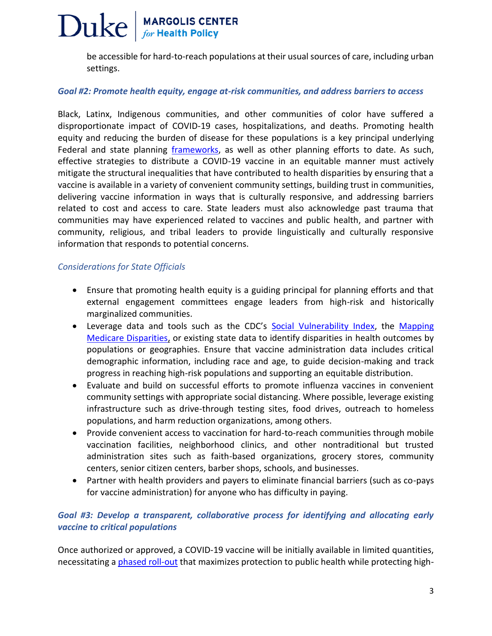be accessible for hard-to-reach populations at their usual sources of care, including urban settings.

#### *Goal #2: Promote health equity, engage at-risk communities, and address barriers to access*

Black, Latinx, Indigenous communities, and other communities of color have suffered a disproportionate impact of COVID-19 cases, hospitalizations, and deaths. Promoting health equity and reducing the burden of disease for these populations is a key principal underlying Federal and state planning [frameworks,](https://www.nap.edu/resource/25917/Major%20Elements%20of%20the%20Framework%20for%20Equitable%20Allocation%20of%20COVID-19%20Vaccine.pdf) as well as other planning efforts to date. As such, effective strategies to distribute a COVID-19 vaccine in an equitable manner must actively mitigate the structural inequalities that have contributed to health disparities by ensuring that a vaccine is available in a variety of convenient community settings, building trust in communities, delivering vaccine information in ways that is culturally responsive, and addressing barriers related to cost and access to care. State leaders must also acknowledge past trauma that communities may have experienced related to vaccines and public health, and partner with community, religious, and tribal leaders to provide linguistically and culturally responsive information that responds to potential concerns.

#### *Considerations for State Officials*

- Ensure that promoting health equity is a guiding principal for planning efforts and that external engagement committees engage leaders from high-risk and historically marginalized communities.
- Leverage data and tools such as the CDC's [Social Vulnerability Index,](https://www.atsdr.cdc.gov/placeandhealth/svi/index.html) the [Mapping](https://www.cms.gov/About-CMS/Agency-Information/OMH/OMH-Mapping-Medicare-Disparities)  [Medicare Disparities,](https://www.cms.gov/About-CMS/Agency-Information/OMH/OMH-Mapping-Medicare-Disparities) or existing state data to identify disparities in health outcomes by populations or geographies. Ensure that vaccine administration data includes critical demographic information, including race and age, to guide decision-making and track progress in reaching high-risk populations and supporting an equitable distribution.
- Evaluate and build on successful efforts to promote influenza vaccines in convenient community settings with appropriate social distancing. Where possible, leverage existing infrastructure such as drive-through testing sites, food drives, outreach to homeless populations, and harm reduction organizations, among others.
- Provide convenient access to vaccination for hard-to-reach communities through mobile vaccination facilities, neighborhood clinics, and other nontraditional but trusted administration sites such as faith-based organizations, grocery stores, community centers, senior citizen centers, barber shops, schools, and businesses.
- Partner with health providers and payers to eliminate financial barriers (such as co-pays for vaccine administration) for anyone who has difficulty in paying.

#### *Goal #3: Develop a transparent, collaborative process for identifying and allocating early vaccine to critical populations*

Once authorized or approved, a COVID-19 vaccine will be initially available in limited quantities, necessitating a [phased roll-out](https://www.cdc.gov/vaccines/acip/meetings/downloads/slides-2020-08/COVID-08-Dooling.pdf) that maximizes protection to public health while protecting high-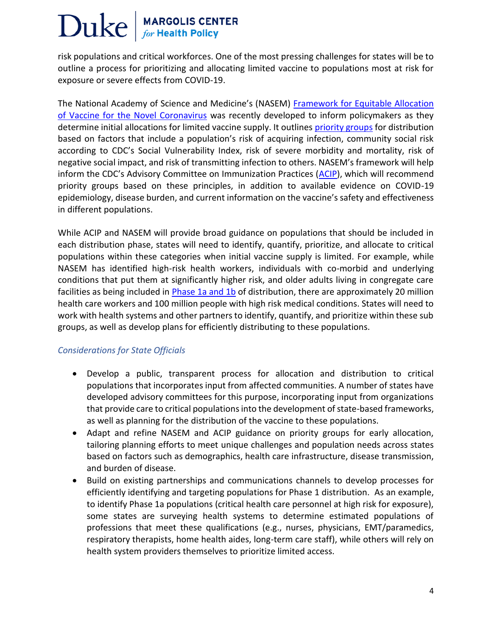## $\text{Duke}$  MARGOLIS CENTER

risk populations and critical workforces. One of the most pressing challenges for states will be to outline a process for prioritizing and allocating limited vaccine to populations most at risk for exposure or severe effects from COVID-19.

The National Academy of Science and Medicine's (NASEM) Framework for Equitable Allocation [of Vaccine for the Novel Coronavirus](https://www.nap.edu/resource/25917/Major%20Elements%20of%20the%20Framework%20for%20Equitable%20Allocation%20of%20COVID-19%20Vaccine.pdf) was recently developed to inform policymakers as they determine initial allocations for limited vaccine supply. It outlines [priority groups](https://www.nap.edu/resource/25917/FIGURE%20-%20A%20Phased%20Approach%20to%20Vaccine%20Allocation%20for%20COVID-19.pdf) for distribution based on factors that include a population's risk of acquiring infection, community social risk according to CDC's Social Vulnerability Index, risk of severe morbidity and mortality, risk of negative social impact, and risk of transmitting infection to others. NASEM's framework will help inform the CDC's Advisory Committee on Immunization Practices ([ACIP\)](https://www.cdc.gov/vaccines/acip/committee/index.html), which will recommend priority groups based on these principles, in addition to available evidence on COVID-19 epidemiology, disease burden, and current information on the vaccine's safety and effectiveness in different populations.

While ACIP and NASEM will provide broad guidance on populations that should be included in each distribution phase, states will need to identify, quantify, prioritize, and allocate to critical populations within these categories when initial vaccine supply is limited. For example, while NASEM has identified high-risk health workers, individuals with co-morbid and underlying conditions that put them at significantly higher risk, and older adults living in congregate care facilities as being included in [Phase 1a and 1b](https://www.cdc.gov/vaccines/acip/meetings/downloads/slides-2020-09/COVID-07-Dooling-508.pdf) of distribution, there are approximately 20 million health care workers and 100 million people with high risk medical conditions. States will need to work with health systems and other partners to identify, quantify, and prioritize within these sub groups, as well as develop plans for efficiently distributing to these populations.

#### *Considerations for State Officials*

- Develop a public, transparent process for allocation and distribution to critical populations that incorporates input from affected communities. A number of states have developed advisory committees for this purpose, incorporating input from organizations that provide care to critical populations into the development of state-based frameworks, as well as planning for the distribution of the vaccine to these populations.
- Adapt and refine NASEM and ACIP guidance on priority groups for early allocation, tailoring planning efforts to meet unique challenges and population needs across states based on factors such as demographics, health care infrastructure, disease transmission, and burden of disease.
- Build on existing partnerships and communications channels to develop processes for efficiently identifying and targeting populations for Phase 1 distribution. As an example, to identify Phase 1a populations (critical health care personnel at high risk for exposure), some states are surveying health systems to determine estimated populations of professions that meet these qualifications (e.g., nurses, physicians, EMT/paramedics, respiratory therapists, home health aides, long-term care staff), while others will rely on health system providers themselves to prioritize limited access.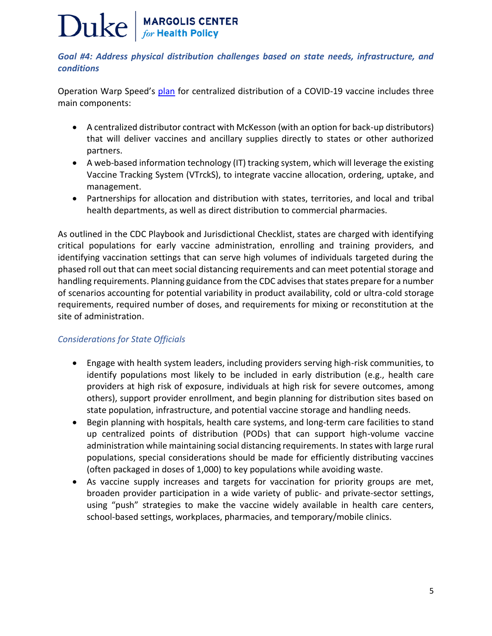#### *Goal #4: Address physical distribution challenges based on state needs, infrastructure, and conditions*

Operation Warp Speed's [plan](https://www.hhs.gov/sites/default/files/strategy-for-distributing-covid-19-vaccine.pdf) for centralized distribution of a COVID-19 vaccine includes three main components:

- A centralized distributor contract with McKesson (with an option for back-up distributors) that will deliver vaccines and ancillary supplies directly to states or other authorized partners.
- A web-based information technology (IT) tracking system, which will leverage the existing Vaccine Tracking System (VTrckS), to integrate vaccine allocation, ordering, uptake, and management.
- Partnerships for allocation and distribution with states, territories, and local and tribal health departments, as well as direct distribution to commercial pharmacies.

As outlined in the CDC Playbook and Jurisdictional Checklist, states are charged with identifying critical populations for early vaccine administration, enrolling and training providers, and identifying vaccination settings that can serve high volumes of individuals targeted during the phased roll out that can meet social distancing requirements and can meet potential storage and handling requirements. Planning guidance from the CDC advises that states prepare for a number of scenarios accounting for potential variability in product availability, cold or ultra-cold storage requirements, required number of doses, and requirements for mixing or reconstitution at the site of administration.

#### *Considerations for State Officials*

- Engage with health system leaders, including providers serving high-risk communities, to identify populations most likely to be included in early distribution (e.g., health care providers at high risk of exposure, individuals at high risk for severe outcomes, among others), support provider enrollment, and begin planning for distribution sites based on state population, infrastructure, and potential vaccine storage and handling needs.
- Begin planning with hospitals, health care systems, and long-term care facilities to stand up centralized points of distribution (PODs) that can support high-volume vaccine administration while maintaining social distancing requirements. In states with large rural populations, special considerations should be made for efficiently distributing vaccines (often packaged in doses of 1,000) to key populations while avoiding waste.
- As vaccine supply increases and targets for vaccination for priority groups are met, broaden provider participation in a wide variety of public- and private-sector settings, using "push" strategies to make the vaccine widely available in health care centers, school-based settings, workplaces, pharmacies, and temporary/mobile clinics.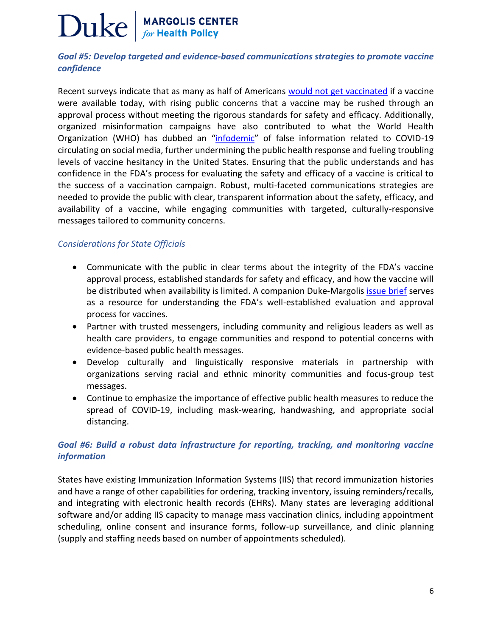## MARGOLIS CENTER **Duke**

#### *Goal #5: Develop targeted and evidence-based communications strategies to promote vaccine confidence*

Recent surveys indicate that as many as half of Americans [would not get vaccinated](https://www.pewresearch.org/science/2020/09/17/u-s-public-now-divided-over-whether-to-get-covid-19-vaccine/) if a vaccine were available today, with rising public concerns that a vaccine may be rushed through an approval process without meeting the rigorous standards for safety and efficacy. Additionally, organized misinformation campaigns have also contributed to what the World Health Organization (WHO) has dubbed an "[infodemic](https://www.who.int/news-room/feature-stories/detail/immunizing-the-public-against-misinformation)" of false information related to COVID-19 circulating on social media, further undermining the public health response and fueling troubling levels of vaccine hesitancy in the United States. Ensuring that the public understands and has confidence in the FDA's process for evaluating the safety and efficacy of a vaccine is critical to the success of a vaccination campaign. Robust, multi-faceted communications strategies are needed to provide the public with clear, transparent information about the safety, efficacy, and availability of a vaccine, while engaging communities with targeted, culturally-responsive messages tailored to community concerns.

#### *Considerations for State Officials*

- Communicate with the public in clear terms about the integrity of the FDA's vaccine approval process, established standards for safety and efficacy, and how the vaccine will be distributed when availability is limited. A companion Duke-Margolis *issue brief serves* as a resource for understanding the FDA's well-established evaluation and approval process for vaccines.
- Partner with trusted messengers, including community and religious leaders as well as health care providers, to engage communities and respond to potential concerns with evidence-based public health messages.
- Develop culturally and linguistically responsive materials in partnership with organizations serving racial and ethnic minority communities and focus-group test messages.
- Continue to emphasize the importance of effective public health measures to reduce the spread of COVID-19, including mask-wearing, handwashing, and appropriate social distancing.

#### *Goal #6: Build a robust data infrastructure for reporting, tracking, and monitoring vaccine information*

States have existing Immunization Information Systems (IIS) that record immunization histories and have a range of other capabilities for ordering, tracking inventory, issuing reminders/recalls, and integrating with electronic health records (EHRs). Many states are leveraging additional software and/or adding IIS capacity to manage mass vaccination clinics, including appointment scheduling, online consent and insurance forms, follow-up surveillance, and clinic planning (supply and staffing needs based on number of appointments scheduled).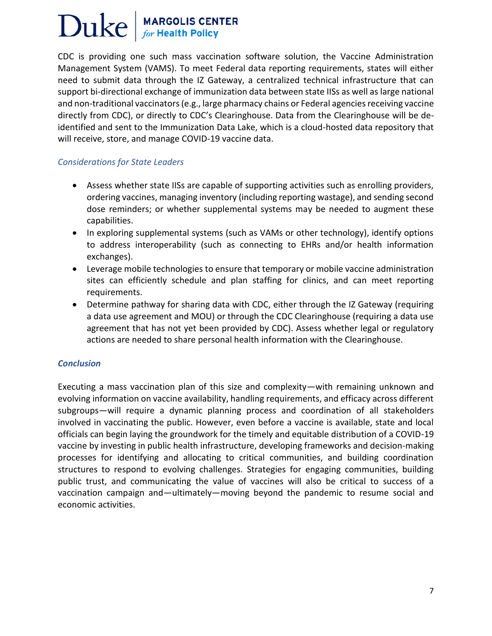CDC is providing one such mass vaccination software solution, the Vaccine Administration Management System (VAMS). To meet Federal data reporting requirements, states will either need to submit data through the IZ Gateway, a centralized technical infrastructure that can support bi-directional exchange of immunization data between state IISs as well as large national and non-traditional vaccinators (e.g., large pharmacy chains or Federal agencies receiving vaccine directly from CDC), or directly to CDC's Clearinghouse. Data from the Clearinghouse will be deidentified and sent to the Immunization Data Lake, which is a cloud-hosted data repository that will receive, store, and manage COVID-19 vaccine data.

#### *Considerations for State Leaders*

- Assess whether state IISs are capable of supporting activities such as enrolling providers, ordering vaccines, managing inventory (including reporting wastage), and sending second dose reminders; or whether supplemental systems may be needed to augment these capabilities.
- In exploring supplemental systems (such as VAMs or other technology), identify options to address interoperability (such as connecting to EHRs and/or health information exchanges).
- Leverage mobile technologies to ensure that temporary or mobile vaccine administration sites can efficiently schedule and plan staffing for clinics, and can meet reporting requirements.
- Determine pathway for sharing data with CDC, either through the IZ Gateway (requiring a data use agreement and MOU) or through the CDC Clearinghouse (requiring a data use agreement that has not yet been provided by CDC). Assess whether legal or regulatory actions are needed to share personal health information with the Clearinghouse.

#### *Conclusion*

Executing a mass vaccination plan of this size and complexity—with remaining unknown and evolving information on vaccine availability, handling requirements, and efficacy across different subgroups—will require a dynamic planning process and coordination of all stakeholders involved in vaccinating the public. However, even before a vaccine is available, state and local officials can begin laying the groundwork for the timely and equitable distribution of a COVID-19 vaccine by investing in public health infrastructure, developing frameworks and decision-making processes for identifying and allocating to critical communities, and building coordination structures to respond to evolving challenges. Strategies for engaging communities, building public trust, and communicating the value of vaccines will also be critical to success of a vaccination campaign and—ultimately—moving beyond the pandemic to resume social and economic activities.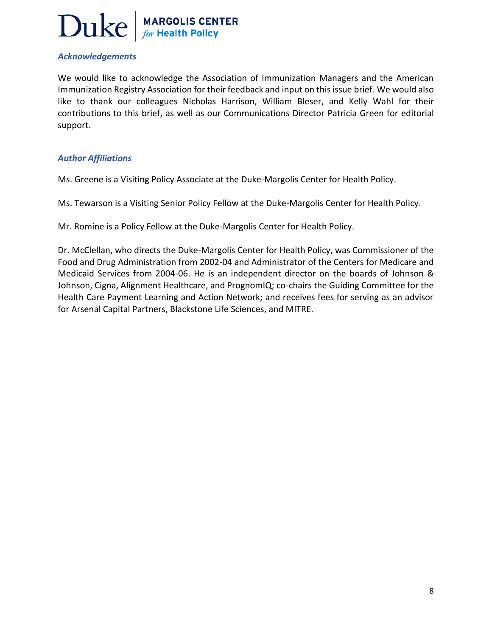#### *Acknowledgements*

We would like to acknowledge the Association of Immunization Managers and the American Immunization Registry Association for their feedback and input on this issue brief. We would also like to thank our colleagues Nicholas Harrison, William Bleser, and Kelly Wahl for their contributions to this brief, as well as our Communications Director Patricia Green for editorial support.

#### *Author Affiliations*

Ms. Greene is a Visiting Policy Associate at the Duke-Margolis Center for Health Policy.

Ms. Tewarson is a Visiting Senior Policy Fellow at the Duke-Margolis Center for Health Policy.

Mr. Romine is a Policy Fellow at the Duke-Margolis Center for Health Policy.

Dr. McClellan, who directs the Duke-Margolis Center for Health Policy, was Commissioner of the Food and Drug Administration from 2002-04 and Administrator of the Centers for Medicare and Medicaid Services from 2004-06. He is an independent director on the boards of Johnson & Johnson, Cigna, Alignment Healthcare, and PrognomIQ; co-chairs the Guiding Committee for the Health Care Payment Learning and Action Network; and receives fees for serving as an advisor for Arsenal Capital Partners, Blackstone Life Sciences, and MITRE.